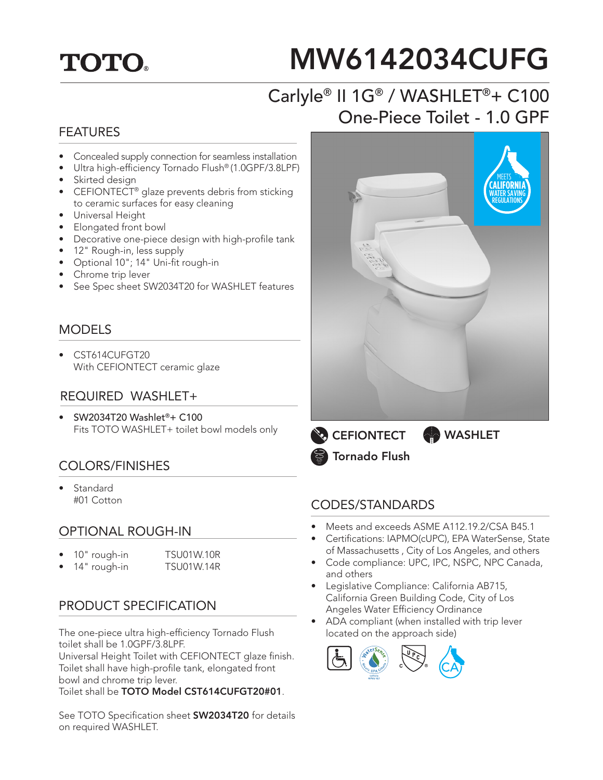## **TOTO.**

# MW6142034CUFG

## Carlyle® II 1G® / WASHLET®+ C100 One-Piece Toilet - 1.0 GPF

#### FEATURES

- Concealed supply connection for seamless installation
- Ultra high-efficiency Tornado Flush® (1.0GPF/3.8LPF)
- Skirted design
- CEFIONTECT<sup>®</sup> glaze prevents debris from sticking to ceramic surfaces for easy cleaning
- Universal Height
- Elongated front bowl
- Decorative one-piece design with high-profile tank
- 12" Rough-in, less supply
- Optional 10"; 14" Uni-fit rough-in
- Chrome trip lever
- See Spec sheet SW2034T20 for WASHLET features

#### **MODELS**

• CST614CUFGT20 With CEFIONTECT ceramic glaze

#### REQUIRED WASHLET+

• SW2034T20 Washlet®+ C100 Fits TOTO WASHLET+ toilet bowl models only

#### COLORS/FINISHES

**Standard** #01 Cotton

#### OPTIONAL ROUGH-IN

- 10" rough-in TSU01W.10R
	- 14" rough-in TSU01W.14R

#### PRODUCT SPECIFICATION

The one-piece ultra high-efficiency Tornado Flush toilet shall be 1.0GPF/3.8LPF.

Universal Height Toilet with CEFIONTECT glaze finish. Toilet shall have high-profile tank, elongated front bowl and chrome trip lever.

Toilet shall be TOTO Model CST614CUFGT20#01.

See TOTO Specification sheet **SW2034T20** for details on required WASHLET.



**CEFIONTECT** Tornado Flush **WASHLET** 

#### CODES/STANDARDS

- Meets and exceeds ASME A112.19.2/CSA B45.1
- Certifications: IAPMO(cUPC), EPA WaterSense, State of Massachusetts , City of Los Angeles, and others
- Code compliance: UPC, IPC, NSPC, NPC Canada, and others
- Legislative Compliance: California AB715, California Green Building Code, City of Los Angeles Water Efficiency Ordinance
- ADA compliant (when installed with trip lever located on the approach side)